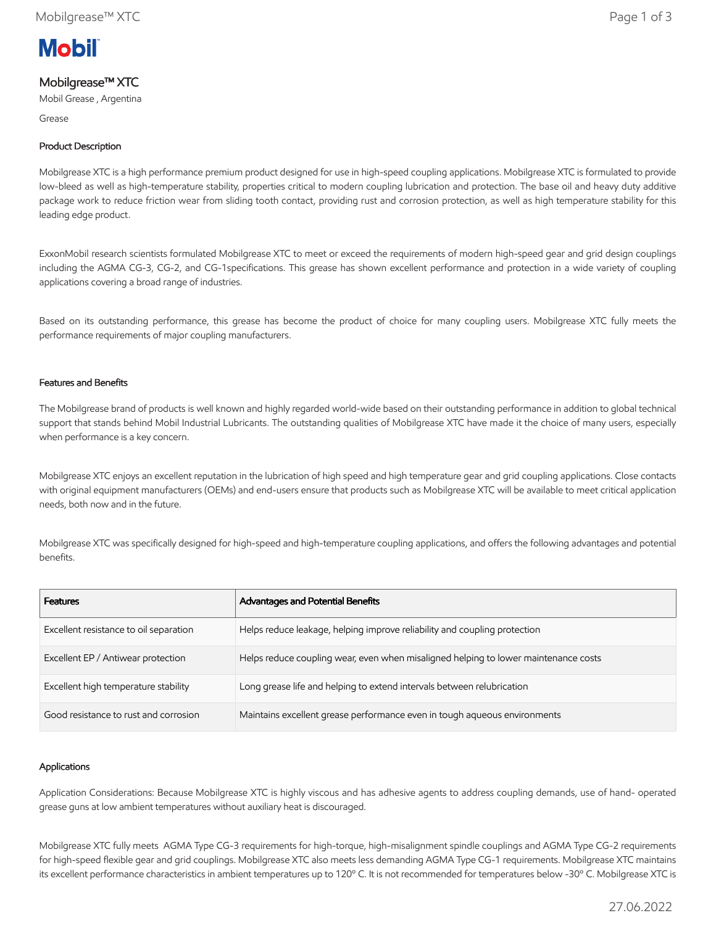

# Mobilgrease™ XTC

Mobil Grease , Argentina

Grease

# Product Description

Mobilgrease XTC is a high performance premium product designed for use in high-speed coupling applications. Mobilgrease XTC is formulated to provide low-bleed as well as high-temperature stability, properties critical to modern coupling lubrication and protection. The base oil and heavy duty additive package work to reduce friction wear from sliding tooth contact, providing rust and corrosion protection, as well as high temperature stability for this leading edge product.

ExxonMobil research scientists formulated Mobilgrease XTC to meet or exceed the requirements of modern high-speed gear and grid design couplings including the AGMA CG-3, CG-2, and CG-1specifications. This grease has shown excellent performance and protection in a wide variety of coupling applications covering a broad range of industries.

Based on its outstanding performance, this grease has become the product of choice for many coupling users. Mobilgrease XTC fully meets the performance requirements of major coupling manufacturers.

## Features and Benefits

The Mobilgrease brand of products is well known and highly regarded world-wide based on their outstanding performance in addition to global technical support that stands behind Mobil Industrial Lubricants. The outstanding qualities of Mobilgrease XTC have made it the choice of many users, especially when performance is a key concern.

Mobilgrease XTC enjoys an excellent reputation in the lubrication of high speed and high temperature gear and grid coupling applications. Close contacts with original equipment manufacturers (OEMs) and end-users ensure that products such as Mobilgrease XTC will be available to meet critical application needs, both now and in the future.

Mobilgrease XTC was specifically designed for high-speed and high-temperature coupling applications, and offers the following advantages and potential benefits.

| <b>Features</b>                        | Advantages and Potential Benefits                                                   |
|----------------------------------------|-------------------------------------------------------------------------------------|
| Excellent resistance to oil separation | Helps reduce leakage, helping improve reliability and coupling protection           |
| Excellent EP / Antiwear protection     | Helps reduce coupling wear, even when misaligned helping to lower maintenance costs |
| Excellent high temperature stability   | Long grease life and helping to extend intervals between relubrication              |
| Good resistance to rust and corrosion  | Maintains excellent grease performance even in tough aqueous environments           |

### Applications

Application Considerations: Because Mobilgrease XTC is highly viscous and has adhesive agents to address coupling demands, use of hand- operated grease guns at low ambient temperatures without auxiliary heat is discouraged.

Mobilgrease XTC fully meets AGMA Type CG-3 requirements for high-torque, high-misalignment spindle couplings and AGMA Type CG-2 requirements for high-speed flexible gear and grid couplings. Mobilgrease XTC also meets less demanding AGMA Type CG-1 requirements. Mobilgrease XTC maintains its excellent performance characteristics in ambient temperatures up to 120º C. It is not recommended for temperatures below -30º C. Mobilgrease XTC is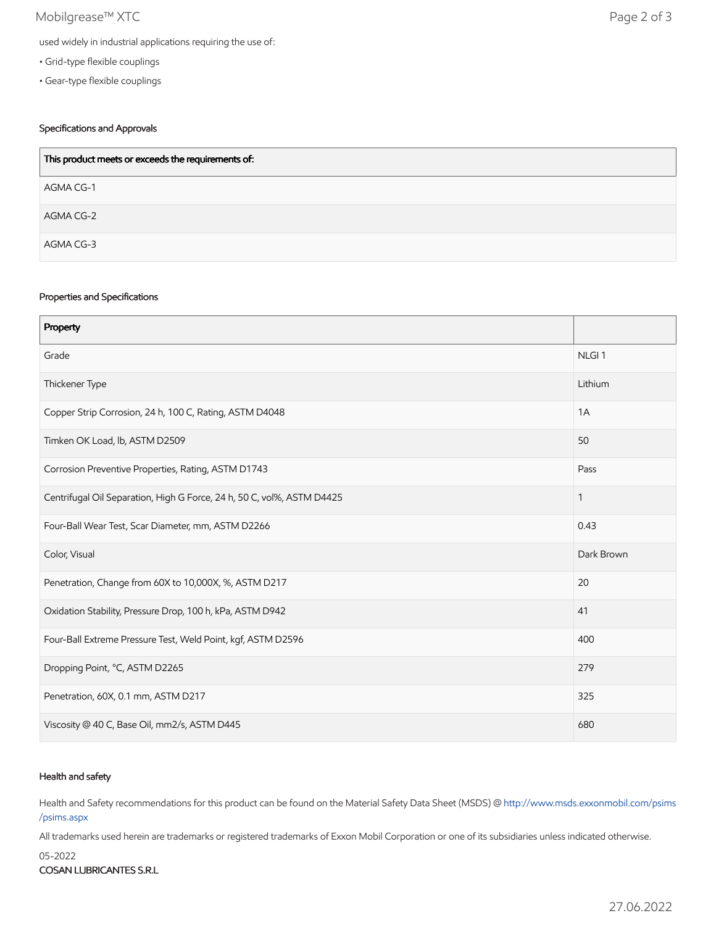# Mobilgrease™ XTC Page 2 of 3

- Grid-type flexible couplings
- Gear-type flexible couplings

# Specifications and Approvals

| This product meets or exceeds the requirements of: |
|----------------------------------------------------|
| AGMA CG-1                                          |
| AGMA CG-2                                          |
| AGMA CG-3                                          |

### Properties and Specifications

| Property                                                               |                   |
|------------------------------------------------------------------------|-------------------|
| Grade                                                                  | NLGI <sub>1</sub> |
| Thickener Type                                                         | Lithium           |
| Copper Strip Corrosion, 24 h, 100 C, Rating, ASTM D4048                | 1A                |
| Timken OK Load, lb, ASTM D2509                                         | 50                |
| Corrosion Preventive Properties, Rating, ASTM D1743                    | Pass              |
| Centrifugal Oil Separation, High G Force, 24 h, 50 C, vol%, ASTM D4425 | $\mathbf{1}$      |
| Four-Ball Wear Test, Scar Diameter, mm, ASTM D2266                     | 0.43              |
| Color, Visual                                                          | Dark Brown        |
| Penetration, Change from 60X to 10,000X, %, ASTM D217                  | 20                |
| Oxidation Stability, Pressure Drop, 100 h, kPa, ASTM D942              | 41                |
| Four-Ball Extreme Pressure Test, Weld Point, kgf, ASTM D2596           | 400               |
| Dropping Point, °C, ASTM D2265                                         | 279               |
| Penetration, 60X, 0.1 mm, ASTM D217                                    | 325               |
| Viscosity @ 40 C, Base Oil, mm2/s, ASTM D445                           | 680               |

### Health and safety

Health and Safety recommendations for this product can be found on the Material Safety Data Sheet (MSDS) @ [http://www.msds.exxonmobil.com/psims](http://www.msds.exxonmobil.com/psims/psims.aspx) /psims.aspx

All trademarks used herein are trademarks or registered trademarks of Exxon Mobil Corporation or one of its subsidiaries unless indicated otherwise.

05-2022

COSAN LUBRICANTES S.R.L